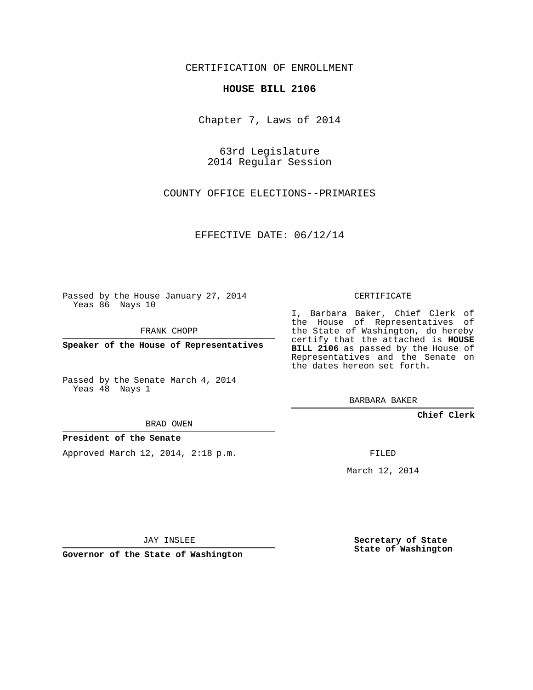### CERTIFICATION OF ENROLLMENT

#### **HOUSE BILL 2106**

Chapter 7, Laws of 2014

63rd Legislature 2014 Regular Session

COUNTY OFFICE ELECTIONS--PRIMARIES

EFFECTIVE DATE: 06/12/14

Passed by the House January 27, 2014 Yeas 86 Nays 10

FRANK CHOPP

**Speaker of the House of Representatives**

Passed by the Senate March 4, 2014 Yeas 48 Nays 1

BRAD OWEN

#### **President of the Senate**

Approved March 12, 2014, 2:18 p.m.

CERTIFICATE

I, Barbara Baker, Chief Clerk of the House of Representatives of the State of Washington, do hereby certify that the attached is **HOUSE BILL 2106** as passed by the House of Representatives and the Senate on the dates hereon set forth.

BARBARA BAKER

**Chief Clerk**

FILED

March 12, 2014

JAY INSLEE

**Governor of the State of Washington**

**Secretary of State State of Washington**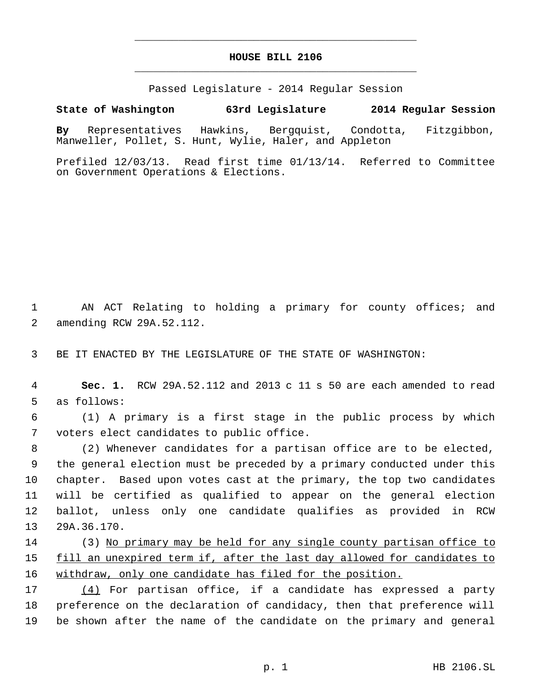# **HOUSE BILL 2106** \_\_\_\_\_\_\_\_\_\_\_\_\_\_\_\_\_\_\_\_\_\_\_\_\_\_\_\_\_\_\_\_\_\_\_\_\_\_\_\_\_\_\_\_\_

\_\_\_\_\_\_\_\_\_\_\_\_\_\_\_\_\_\_\_\_\_\_\_\_\_\_\_\_\_\_\_\_\_\_\_\_\_\_\_\_\_\_\_\_\_

Passed Legislature - 2014 Regular Session

## **State of Washington 63rd Legislature 2014 Regular Session**

**By** Representatives Hawkins, Bergquist, Condotta, Fitzgibbon, Manweller, Pollet, S. Hunt, Wylie, Haler, and Appleton

Prefiled 12/03/13. Read first time 01/13/14. Referred to Committee on Government Operations & Elections.

 AN ACT Relating to holding a primary for county offices; and amending RCW 29A.52.112.

BE IT ENACTED BY THE LEGISLATURE OF THE STATE OF WASHINGTON:

 **Sec. 1.** RCW 29A.52.112 and 2013 c 11 s 50 are each amended to read as follows:

 (1) A primary is a first stage in the public process by which voters elect candidates to public office.

 (2) Whenever candidates for a partisan office are to be elected, the general election must be preceded by a primary conducted under this chapter. Based upon votes cast at the primary, the top two candidates will be certified as qualified to appear on the general election ballot, unless only one candidate qualifies as provided in RCW 29A.36.170.

 (3) No primary may be held for any single county partisan office to 15 fill an unexpired term if, after the last day allowed for candidates to withdraw, only one candidate has filed for the position.

 (4) For partisan office, if a candidate has expressed a party preference on the declaration of candidacy, then that preference will be shown after the name of the candidate on the primary and general